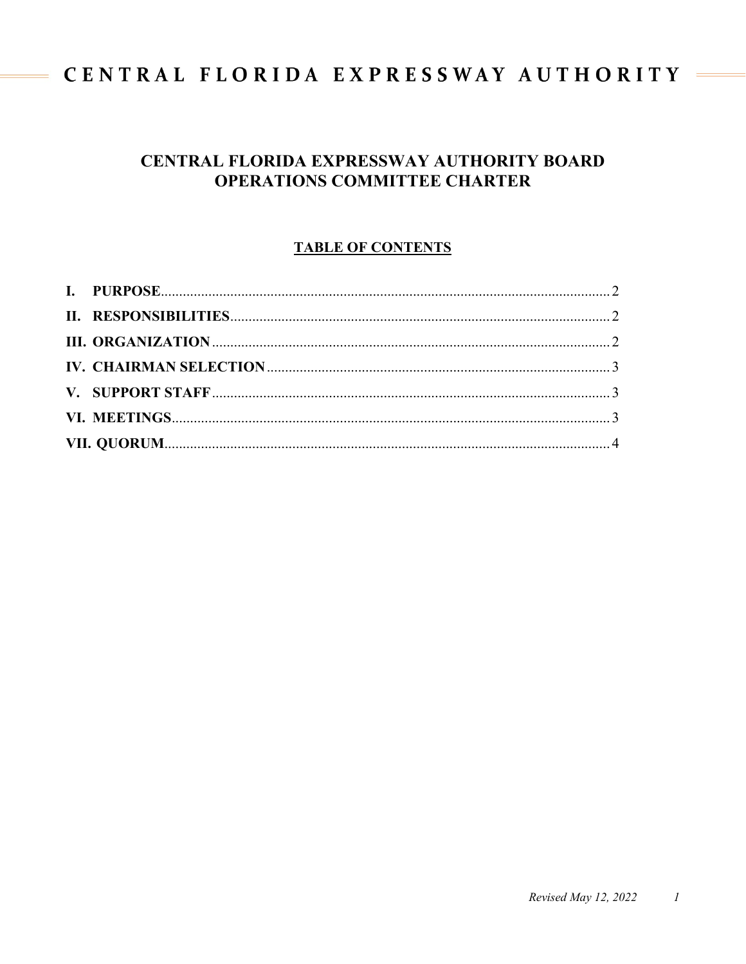# CENTRAL FLORIDA EXPRESSWAY AUTHORITY =

 $\equiv$ 

# **CENTRAL FLORIDA EXPRESSWAY AUTHORITY BOARD OPERATIONS COMMITTEE CHARTER**

# **TABLE OF CONTENTS**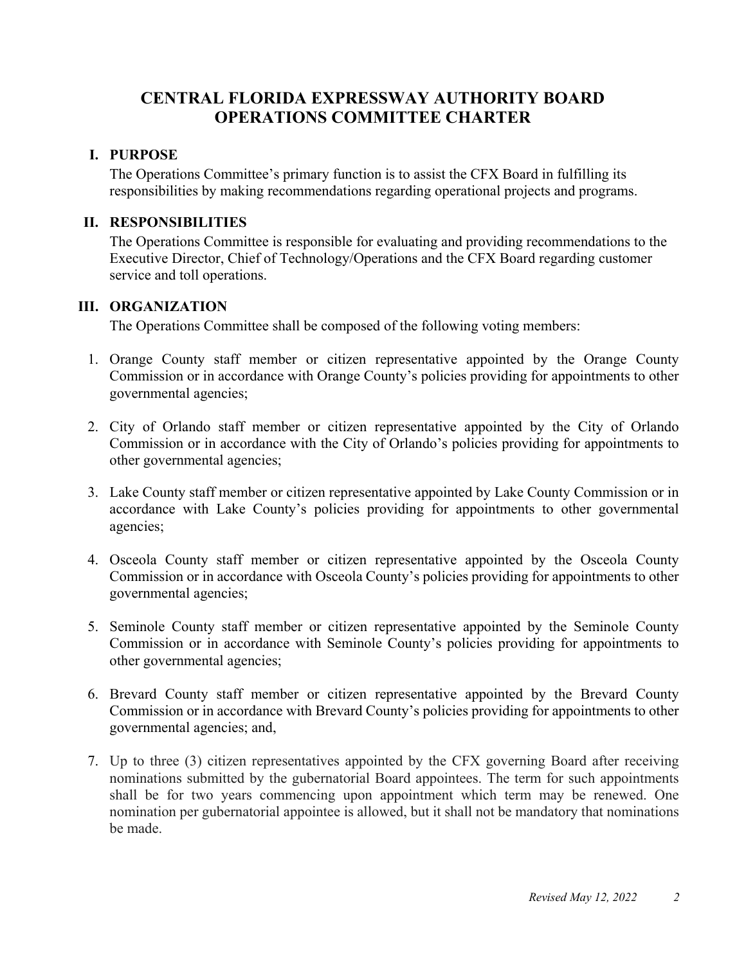# **CENTRAL FLORIDA EXPRESSWAY AUTHORITY BOARD OPERATIONS COMMITTEE CHARTER**

# <span id="page-1-0"></span>**I. PURPOSE**

The Operations Committee's primary function is to assist the CFX Board in fulfilling its responsibilities by making recommendations regarding operational projects and programs.

## <span id="page-1-1"></span>**II. RESPONSIBILITIES**

The Operations Committee is responsible for evaluating and providing recommendations to the Executive Director, Chief of Technology/Operations and the CFX Board regarding customer service and toll operations.

#### <span id="page-1-2"></span>**III. ORGANIZATION**

The Operations Committee shall be composed of the following voting members:

- 1. Orange County staff member or citizen representative appointed by the Orange County Commission or in accordance with Orange County's policies providing for appointments to other governmental agencies;
- 2. City of Orlando staff member or citizen representative appointed by the City of Orlando Commission or in accordance with the City of Orlando's policies providing for appointments to other governmental agencies;
- 3. Lake County staff member or citizen representative appointed by Lake County Commission or in accordance with Lake County's policies providing for appointments to other governmental agencies;
- 4. Osceola County staff member or citizen representative appointed by the Osceola County Commission or in accordance with Osceola County's policies providing for appointments to other governmental agencies;
- 5. Seminole County staff member or citizen representative appointed by the Seminole County Commission or in accordance with Seminole County's policies providing for appointments to other governmental agencies;
- 6. Brevard County staff member or citizen representative appointed by the Brevard County Commission or in accordance with Brevard County's policies providing for appointments to other governmental agencies; and,
- 7. Up to three (3) citizen representatives appointed by the CFX governing Board after receiving nominations submitted by the gubernatorial Board appointees. The term for such appointments shall be for two years commencing upon appointment which term may be renewed. One nomination per gubernatorial appointee is allowed, but it shall not be mandatory that nominations be made.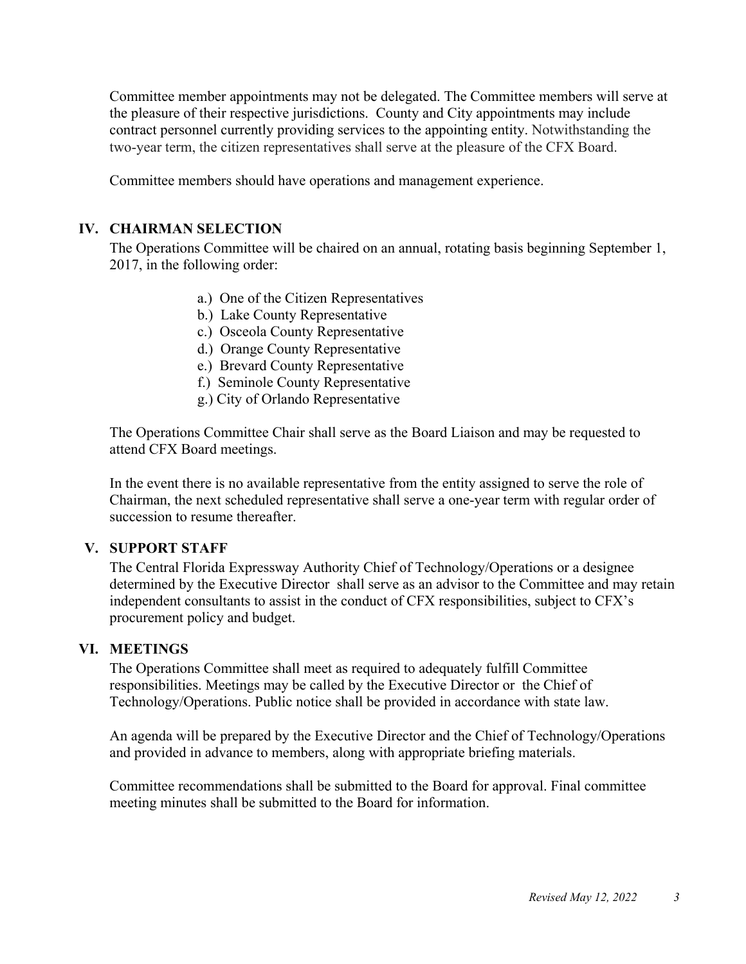Committee member appointments may not be delegated. The Committee members will serve at the pleasure of their respective jurisdictions. County and City appointments may include contract personnel currently providing services to the appointing entity. Notwithstanding the two-year term, the citizen representatives shall serve at the pleasure of the CFX Board.

Committee members should have operations and management experience.

# <span id="page-2-0"></span>**IV. CHAIRMAN SELECTION**

The Operations Committee will be chaired on an annual, rotating basis beginning September 1, 2017, in the following order:

- a.) One of the Citizen Representatives
- b.) Lake County Representative
- c.) Osceola County Representative
- d.) Orange County Representative
- e.) Brevard County Representative
- f.) Seminole County Representative
- g.) City of Orlando Representative

The Operations Committee Chair shall serve as the Board Liaison and may be requested to attend CFX Board meetings.

In the event there is no available representative from the entity assigned to serve the role of Chairman, the next scheduled representative shall serve a one-year term with regular order of succession to resume thereafter.

#### <span id="page-2-1"></span>**V. SUPPORT STAFF**

The Central Florida Expressway Authority Chief of Technology/Operations or a designee determined by the Executive Director shall serve as an advisor to the Committee and may retain independent consultants to assist in the conduct of CFX responsibilities, subject to CFX's procurement policy and budget.

# <span id="page-2-2"></span>**VI. MEETINGS**

The Operations Committee shall meet as required to adequately fulfill Committee responsibilities. Meetings may be called by the Executive Director or the Chief of Technology/Operations. Public notice shall be provided in accordance with state law.

An agenda will be prepared by the Executive Director and the Chief of Technology/Operations and provided in advance to members, along with appropriate briefing materials.

<span id="page-2-3"></span>Committee recommendations shall be submitted to the Board for approval. Final committee meeting minutes shall be submitted to the Board for information.